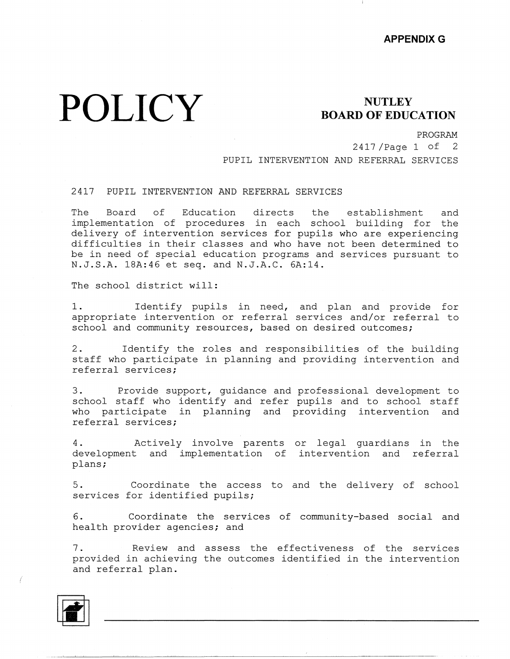## **POLICY** BOARD OF EDUC

## **BOARD OF EDUCATION**

PROGRAM

2417 /Page 1 of 2 PUPIL INTERVENTION AND REFERRAL SERVICES

## 2417 PUPIL INTERVENTION AND REFERRAL SERVICES

The Board of Education directs the establishment and implementation of procedures in each school building for the delivery of intervention services for pupils who are experiencing difficulties in their classes and who have not been determined to be in need of special education programs and services pursuant to N.J.S.A. lBA:46 et seq. and N.J.A.C. 6A:14.

The school district will:

1. Identify pupils in need, and plan and provide for appropriate intervention or referral services and/or referral to school and community resources, based on desired outcomes;

2. Identify the roles and responsibilities of the building staff who participate in planning and providing intervention and referral services;

3. Provide support, guidance and professional development to school staff who identify and refer pupils and to school staff who participate in planning and providing intervention and referral services;

4. Actively involve parents or legal guardians in the development and implementation of intervention and referi plans;

5. Coordinate the access to and the delivery of school services for identified pupils;

6. Coordinate the services of community-based social and health provider agencies; and

7. Review and assess the effectiveness of the services provided in achieving the outcomes identified in the intervention and referral plan.



*(*